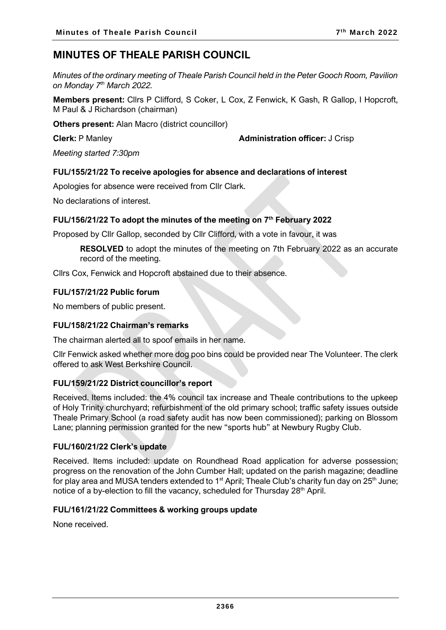# **MINUTES OF THEALE PARISH COUNCIL**

*Minutes of the ordinary meeting of Theale Parish Council held in the Peter Gooch Room, Pavilion on Monday 7 th March 2022.*

**Members present:** Cllrs P Clifford, S Coker, L Cox, Z Fenwick, K Gash, R Gallop, I Hopcroft, M Paul & J Richardson (chairman)

**Others present:** Alan Macro (district councillor)

**Clerk:** P Manley **Administration officer:** J Crisp

*Meeting started 7:30pm*

# **FUL/155/21/22 To receive apologies for absence and declarations of interest**

Apologies for absence were received from Cllr Clark.

No declarations of interest.

#### **FUL/156/21/22 To adopt the minutes of the meeting on 7 th February 2022**

Proposed by Cllr Gallop, seconded by Cllr Clifford, with a vote in favour, it was

**RESOLVED** to adopt the minutes of the meeting on 7th February 2022 as an accurate record of the meeting.

Cllrs Cox, Fenwick and Hopcroft abstained due to their absence.

#### **FUL/157/21/22 Public forum**

No members of public present.

#### **FUL/158/21/22 Chairman's remarks**

The chairman alerted all to spoof emails in her name.

Cllr Fenwick asked whether more dog poo bins could be provided near The Volunteer. The clerk offered to ask West Berkshire Council.

#### **FUL/159/21/22 District councillor's report**

Received. Items included: the 4% council tax increase and Theale contributions to the upkeep of Holy Trinity churchyard; refurbishment of the old primary school; traffic safety issues outside Theale Primary School (a road safety audit has now been commissioned); parking on Blossom Lane; planning permission granted for the new "sports hub" at Newbury Rugby Club.

#### **FUL/160/21/22 Clerk's update**

Received. Items included: update on Roundhead Road application for adverse possession; progress on the renovation of the John Cumber Hall; updated on the parish magazine; deadline for play area and MUSA tenders extended to 1<sup>st</sup> April; Theale Club's charity fun day on 25<sup>th</sup> June; notice of a by-election to fill the vacancy, scheduled for Thursday 28<sup>th</sup> April.

#### **FUL/161/21/22 Committees & working groups update**

None received.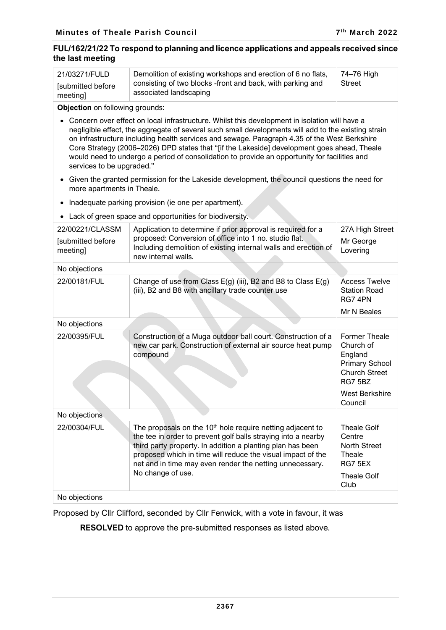# **FUL/162/21/22 To respond to planning and licence applications and appeals received since the last meeting**

| แเง เนงเ เเเงงแเเง                               |                                                                                                                                                                                                                                                                                                                                                                                                                                                                                                     |                                                                                                   |  |
|--------------------------------------------------|-----------------------------------------------------------------------------------------------------------------------------------------------------------------------------------------------------------------------------------------------------------------------------------------------------------------------------------------------------------------------------------------------------------------------------------------------------------------------------------------------------|---------------------------------------------------------------------------------------------------|--|
| 21/03271/FULD                                    | Demolition of existing workshops and erection of 6 no flats,                                                                                                                                                                                                                                                                                                                                                                                                                                        | 74-76 High                                                                                        |  |
| [submitted before<br>meeting]                    | consisting of two blocks -front and back, with parking and<br>associated landscaping                                                                                                                                                                                                                                                                                                                                                                                                                | <b>Street</b>                                                                                     |  |
| Objection on following grounds:                  |                                                                                                                                                                                                                                                                                                                                                                                                                                                                                                     |                                                                                                   |  |
| services to be upgraded."                        | Concern over effect on local infrastructure. Whilst this development in isolation will have a<br>negligible effect, the aggregate of several such small developments will add to the existing strain<br>on infrastructure including health services and sewage. Paragraph 4.35 of the West Berkshire<br>Core Strategy (2006-2026) DPD states that "[if the Lakeside] development goes ahead, Theale<br>would need to undergo a period of consolidation to provide an opportunity for facilities and |                                                                                                   |  |
| $\bullet$<br>more apartments in Theale.          | Given the granted permission for the Lakeside development, the council questions the need for                                                                                                                                                                                                                                                                                                                                                                                                       |                                                                                                   |  |
|                                                  | Inadequate parking provision (ie one per apartment).                                                                                                                                                                                                                                                                                                                                                                                                                                                |                                                                                                   |  |
|                                                  | Lack of green space and opportunities for biodiversity.                                                                                                                                                                                                                                                                                                                                                                                                                                             |                                                                                                   |  |
| 22/00221/CLASSM<br>[submitted before<br>meeting] | Application to determine if prior approval is required for a<br>proposed: Conversion of office into 1 no. studio flat.<br>Including demolition of existing internal walls and erection of<br>new internal walls.                                                                                                                                                                                                                                                                                    | 27A High Street<br>Mr George<br>Lovering                                                          |  |
| No objections                                    |                                                                                                                                                                                                                                                                                                                                                                                                                                                                                                     |                                                                                                   |  |
| 22/00181/FUL                                     | Change of use from Class E(g) (iii), B2 and B8 to Class E(g)<br>(iii), B2 and B8 with ancillary trade counter use                                                                                                                                                                                                                                                                                                                                                                                   | <b>Access Twelve</b><br><b>Station Road</b><br>RG7 4PN                                            |  |
|                                                  |                                                                                                                                                                                                                                                                                                                                                                                                                                                                                                     | Mr N Beales                                                                                       |  |
| No objections                                    |                                                                                                                                                                                                                                                                                                                                                                                                                                                                                                     |                                                                                                   |  |
| 22/00395/FUL                                     | Construction of a Muga outdoor ball court. Construction of a<br>new car park. Construction of external air source heat pump<br>compound                                                                                                                                                                                                                                                                                                                                                             | Former Theale<br>Church of<br>England<br><b>Primary School</b><br><b>Church Street</b><br>RG7 5BZ |  |
|                                                  |                                                                                                                                                                                                                                                                                                                                                                                                                                                                                                     | <b>West Berkshire</b><br>Council                                                                  |  |
| No objections                                    |                                                                                                                                                                                                                                                                                                                                                                                                                                                                                                     |                                                                                                   |  |
| 22/00304/FUL                                     | The proposals on the 10 <sup>th</sup> hole require netting adjacent to<br>the tee in order to prevent golf balls straying into a nearby<br>third party property. In addition a planting plan has been<br>proposed which in time will reduce the visual impact of the<br>net and in time may even render the netting unnecessary.<br>No change of use.                                                                                                                                               | <b>Theale Golf</b><br>Centre<br><b>North Street</b><br>Theale<br>RG7 5EX<br><b>Theale Golf</b>    |  |
| No objections                                    |                                                                                                                                                                                                                                                                                                                                                                                                                                                                                                     | Club                                                                                              |  |

Proposed by Cllr Clifford, seconded by Cllr Fenwick, with a vote in favour, it was

**RESOLVED** to approve the pre-submitted responses as listed above.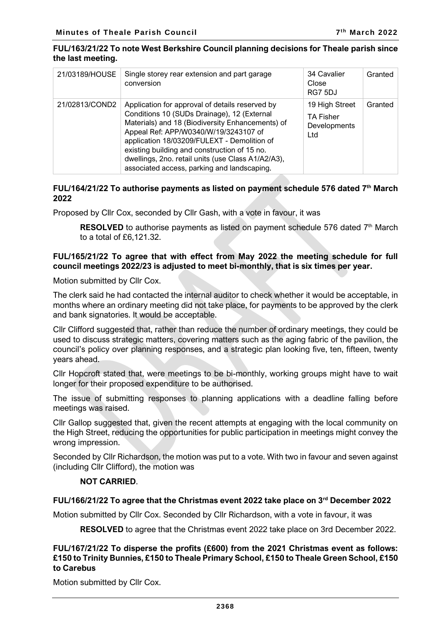#### **FUL/163/21/22 To note West Berkshire Council planning decisions for Theale parish since the last meeting.**

| 21/03189/HOUSE | Single storey rear extension and part garage<br>conversion                                                                                                                                                                                                                                                                                                                                      | 34 Cavalier<br>Close<br>RG7 5DJ                           | Granted |
|----------------|-------------------------------------------------------------------------------------------------------------------------------------------------------------------------------------------------------------------------------------------------------------------------------------------------------------------------------------------------------------------------------------------------|-----------------------------------------------------------|---------|
| 21/02813/COND2 | Application for approval of details reserved by<br>Conditions 10 (SUDs Drainage), 12 (External<br>Materials) and 18 (Biodiversity Enhancements) of<br>Appeal Ref: APP/W0340/W/19/3243107 of<br>application 18/03209/FULEXT - Demolition of<br>existing building and construction of 15 no.<br>dwellings, 2no. retail units (use Class A1/A2/A3),<br>associated access, parking and landscaping. | 19 High Street<br><b>TA Fisher</b><br>Developments<br>Ltd | Granted |

# **FUL/164/21/22 To authorise payments as listed on payment schedule 576 dated 7 th March 2022**

Proposed by Cllr Cox, seconded by Cllr Gash, with a vote in favour, it was

**RESOLVED** to authorise payments as listed on payment schedule 576 dated 7<sup>th</sup> March to a total of £6,121.32.

# **FUL/165/21/22 To agree that with effect from May 2022 the meeting schedule for full council meetings 2022/23 is adjusted to meet bi-monthly, that is six times per year.**

Motion submitted by Cllr Cox.

The clerk said he had contacted the internal auditor to check whether it would be acceptable, in months where an ordinary meeting did not take place, for payments to be approved by the clerk and bank signatories. It would be acceptable.

Cllr Clifford suggested that, rather than reduce the number of ordinary meetings, they could be used to discuss strategic matters, covering matters such as the aging fabric of the pavilion, the council's policy over planning responses, and a strategic plan looking five, ten, fifteen, twenty years ahead.

Cllr Hopcroft stated that, were meetings to be bi-monthly, working groups might have to wait longer for their proposed expenditure to be authorised.

The issue of submitting responses to planning applications with a deadline falling before meetings was raised.

Cllr Gallop suggested that, given the recent attempts at engaging with the local community on the High Street, reducing the opportunities for public participation in meetings might convey the wrong impression.

Seconded by Cllr Richardson, the motion was put to a vote. With two in favour and seven against (including Cllr Clifford), the motion was

#### **NOT CARRIED**.

#### **FUL/166/21/22 To agree that the Christmas event 2022 take place on 3rd December 2022**

Motion submitted by Cllr Cox. Seconded by Cllr Richardson, with a vote in favour, it was

**RESOLVED** to agree that the Christmas event 2022 take place on 3rd December 2022.

### **FUL/167/21/22 To disperse the profits (£600) from the 2021 Christmas event as follows: £150 to Trinity Bunnies, £150 to Theale Primary School, £150 to Theale Green School, £150 to Carebus**

Motion submitted by Cllr Cox.